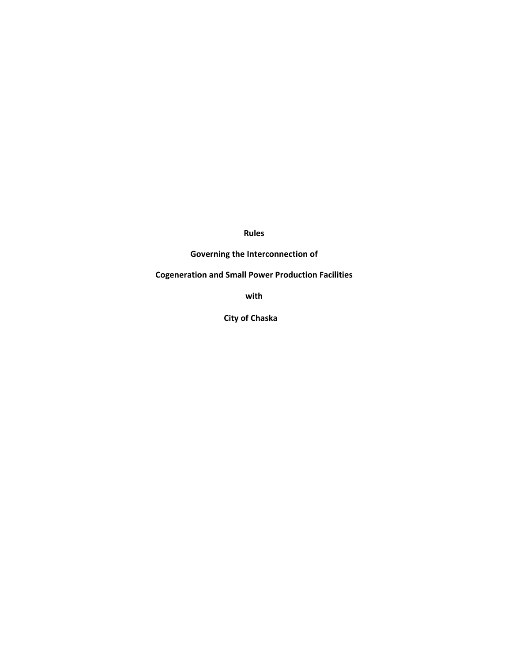**Rules**

 **Governing the Interconnection of**

**Cogeneration and Small Power Production Facilities**

**with**

 **City of Chaska**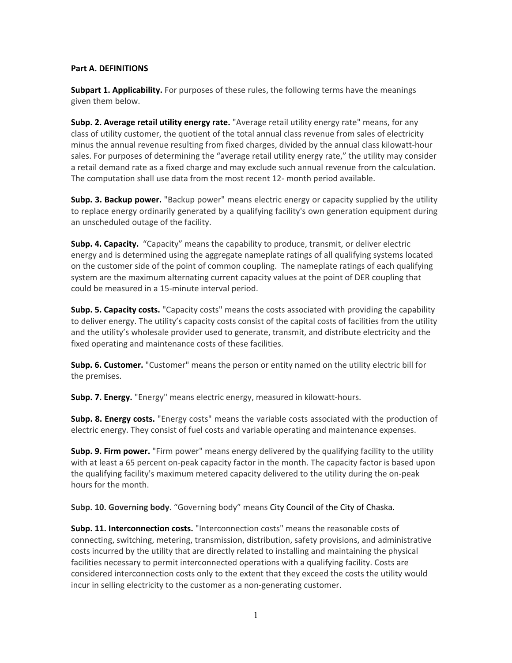## **Part A. DEFINITIONS**

**Subpart 1. Applicability.** For purposes of these rules, the following terms have the meanings given them below.

**Subp. 2. Average retail utility energy rate.** "Average retail utility energy rate" means, for any class of utility customer, the quotient of the total annual class revenue from sales of electricity minus the annual revenue resulting from fixed charges, divided by the annual class kilowatt‐hour sales. For purposes of determining the "average retail utility energy rate," the utility may consider a retail demand rate as a fixed charge and may exclude such annual revenue from the calculation. The computation shall use data from the most recent 12‐ month period available.

 to replace energy ordinarily generated by a qualifying facility's own generation equipment during **Subp. 3. Backup power.** "Backup power" means electric energy or capacity supplied by the utility an unscheduled outage of the facility.

**Subp. 4. Capacity.**  "Capacity" means the capability to produce, transmit, or deliver electric energy and is determined using the aggregate nameplate ratings of all qualifying systems located on the customer side of the point of common coupling. The nameplate ratings of each qualifying system are the maximum alternating current capacity values at the point of DER coupling that could be measured in a 15‐minute interval period.

 and the utility's wholesale provider used to generate, transmit, and distribute electricity and the **Subp. 5. Capacity costs.** "Capacity costs" means the costs associated with providing the capability to deliver energy. The utility's capacity costs consist of the capital costs of facilities from the utility fixed operating and maintenance costs of these facilities.

 **Subp. 6. Customer.** "Customer" means the person or entity named on the utility electric bill for the premises.

**Subp. 7. Energy.** "Energy" means electric energy, measured in kilowatt-hours.

**Subp. 8. Energy costs.** "Energy costs" means the variable costs associated with the production of electric energy. They consist of fuel costs and variable operating and maintenance expenses.

**Subp. 9. Firm power.** "Firm power" means energy delivered by the qualifying facility to the utility with at least a 65 percent on-peak capacity factor in the month. The capacity factor is based upon the qualifying facility's maximum metered capacity delivered to the utility during the on‐peak hours for the month.

**Subp. 10. Governing body.** "Governing body" means City Council of the City of Chaska.

**Subp. 11. Interconnection costs.** "Interconnection costs" means the reasonable costs of connecting, switching, metering, transmission, distribution, safety provisions, and administrative costs incurred by the utility that are directly related to installing and maintaining the physical facilities necessary to permit interconnected operations with a qualifying facility. Costs are considered interconnection costs only to the extent that they exceed the costs the utility would incur in selling electricity to the customer as a non‐generating customer.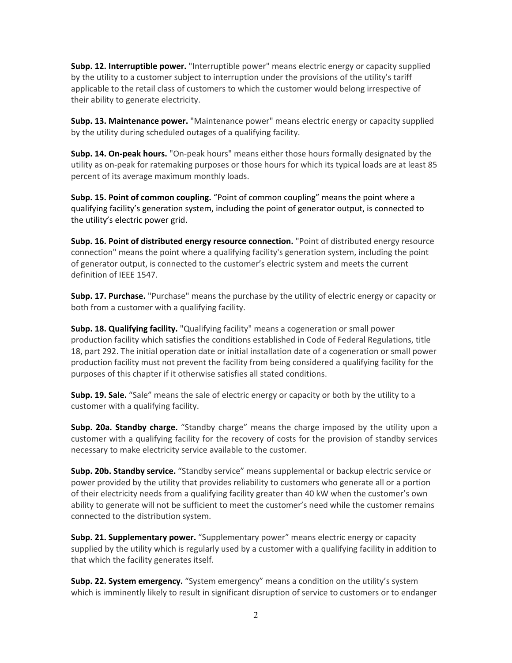**Subp. 12. Interruptible power.** "Interruptible power" means electric energy or capacity supplied by the utility to a customer subject to interruption under the provisions of the utility's tariff applicable to the retail class of customers to which the customer would belong irrespective of their ability to generate electricity.

**Subp. 13. Maintenance power.** "Maintenance power" means electric energy or capacity supplied by the utility during scheduled outages of a qualifying facility.

**Subp. 14. On‐peak hours.** "On‐peak hours" means either those hours formally designated by the utility as on‐peak for ratemaking purposes or those hours for which its typical loads are at least 85 percent of its average maximum monthly loads.

**Subp. 15. Point of common coupling.** "Point of common coupling" means the point where a qualifying facility's generation system, including the point of generator output, is connected to the utility's electric power grid.

 **Subp. 16. Point of distributed energy resource connection.** "Point of distributed energy resource of generator output, is connected to the customer's electric system and meets the current connection" means the point where a qualifying facility's generation system, including the point definition of IEEE 1547.

**Subp. 17. Purchase.** "Purchase" means the purchase by the utility of electric energy or capacity or both from a customer with a qualifying facility.

 production facility must not prevent the facility from being considered a qualifying facility for the **Subp. 18. Qualifying facility.** "Qualifying facility" means a cogeneration or small power production facility which satisfies the conditions established in Code of Federal Regulations, title 18, part 292. The initial operation date or initial installation date of a cogeneration or small power purposes of this chapter if it otherwise satisfies all stated conditions.

 **Subp. 19. Sale.** "Sale" means the sale of electric energy or capacity or both by the utility to a customer with a qualifying facility.

 **Subp. 20a. Standby charge.**  "Standby charge" means the charge imposed by the utility upon a customer with a qualifying facility for the recovery of costs for the provision of standby services necessary to make electricity service available to the customer.

 ability to generate will not be sufficient to meet the customer's need while the customer remains connected to the distribution system. **Subp. 20b. Standby service.** "Standby service" means supplemental or backup electric service or power provided by the utility that provides reliability to customers who generate all or a portion of their electricity needs from a qualifying facility greater than 40 kW when the customer's own

**Subp. 21. Supplementary power.** "Supplementary power" means electric energy or capacity supplied by the utility which is regularly used by a customer with a qualifying facility in addition to that which the facility generates itself.

**Subp. 22. System emergency.** "System emergency" means a condition on the utility's system which is imminently likely to result in significant disruption of service to customers or to endanger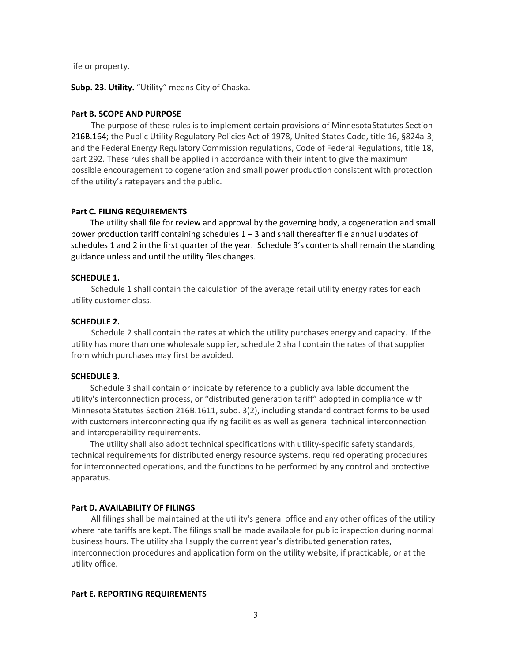life or property.

**Subp. 23. Utility.** "Utility" means City of Chaska.

#### **Part B. SCOPE AND PURPOSE**

The purpose of these rules is to implement certain provisions of Minnesota Statutes Section 216B.164; the Public Utility Regulatory Policies Act of 1978, United States Code, title 16, §824a‐3; and the Federal Energy Regulatory Commission regulations, Code of Federal Regulations, title 18, part 292. These rules shall be applied in accordance with their intent to give the maximum possible encouragement to cogeneration and small power production consistent with protection of the utility's ratepayers and the public.

#### **Part C. FILING REQUIREMENTS**

The utility shall file for review and approval by the governing body, a cogeneration and small power production tariff containing schedules 1 – 3 and shall thereafter file annual updates of schedules 1 and 2 in the first quarter of the year. Schedule 3's contents shall remain the standing guidance unless and until the utility files changes.

#### **SCHEDULE 1.**

Schedule 1 shall contain the calculation of the average retail utility energy rates for each utility customer class.

#### **SCHEDULE 2.**

Schedule 2 shall contain the rates at which the utility purchases energy and capacity. If the utility has more than one wholesale supplier, schedule 2 shall contain the rates of that supplier from which purchases may first be avoided.

#### **SCHEDULE 3.**

 Schedule 3 shall contain or indicate by reference to a publicly available document the utility's interconnection process, or "distributed generation tariff" adopted in compliance with Minnesota Statutes Section 216B.1611, subd. 3(2), including standard contract forms to be used with customers interconnecting qualifying facilities as well as general technical interconnection and interoperability requirements.

 technical requirements for distributed energy resource systems, required operating procedures The utility shall also adopt technical specifications with utility‐specific safety standards, for interconnected operations, and the functions to be performed by any control and protective apparatus.

#### **Part D. AVAILABILITY OF FILINGS**

All filings shall be maintained at the utility's general office and any other offices of the utility where rate tariffs are kept. The filings shall be made available for public inspection during normal business hours. The utility shall supply the current year's distributed generation rates, interconnection procedures and application form on the utility website, if practicable, or at the utility office.

#### **Part E. REPORTING REQUIREMENTS**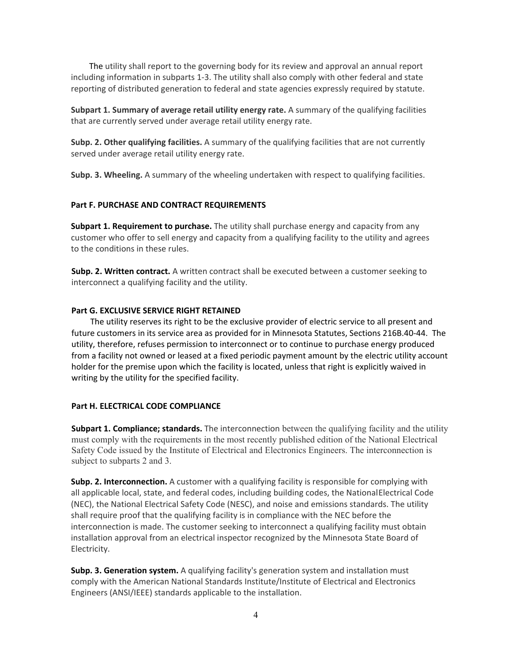The utility shall report to the governing body for its review and approval an annual report including information in subparts 1‐3. The utility shall also comply with other federal and state reporting of distributed generation to federal and state agencies expressly required by statute.

 that are currently served under average retail utility energy rate. **Subpart 1. Summary of average retail utility energy rate.** A summary of the qualifying facilities

**Subp. 2. Other qualifying facilities.** A summary of the qualifying facilities that are not currently served under average retail utility energy rate.

**Subp. 3. Wheeling.** A summary of the wheeling undertaken with respect to qualifying facilities.

# **Part F. PURCHASE AND CONTRACT REQUIREMENTS**

 **Subpart 1. Requirement to purchase.** The utility shall purchase energy and capacity from any customer who offer to sell energy and capacity from a qualifying facility to the utility and agrees to the conditions in these rules.

 **Subp. 2. Written contract.** A written contract shall be executed between a customer seeking to interconnect a qualifying facility and the utility.

## **Part G. EXCLUSIVE SERVICE RIGHT RETAINED**

 from a facility not owned or leased at a fixed periodic payment amount by the electric utility account The utility reserves its right to be the exclusive provider of electric service to all present and future customers in its service area as provided for in Minnesota Statutes, Sections 216B.40‐44. The utility, therefore, refuses permission to interconnect or to continue to purchase energy produced holder for the premise upon which the facility is located, unless that right is explicitly waived in writing by the utility for the specified facility.

### **Part H. ELECTRICAL CODE COMPLIANCE**

**Subpart 1. Compliance; standards.** The interconnection between the qualifying facility and the utility must comply with the requirements in the most recently published edition of the National Electrical Safety Code issued by the Institute of Electrical and Electronics Engineers. The interconnection is subject to subparts 2 and 3.

**Subp. 2. Interconnection.** A customer with a qualifying facility is responsible for complying with all applicable local, state, and federal codes, including building codes, the National Electrical Code (NEC), the National Electrical Safety Code (NESC), and noise and emissions standards. The utility shall require proof that the qualifying facility is in compliance with the NEC before the interconnection is made. The customer seeking to interconnect a qualifying facility must obtain installation approval from an electrical inspector recognized by the Minnesota State Board of Electricity.

**Subp. 3. Generation system.** A qualifying facility's generation system and installation must comply with the American National Standards Institute/Institute of Electrical and Electronics Engineers (ANSI/IEEE) standards applicable to the installation.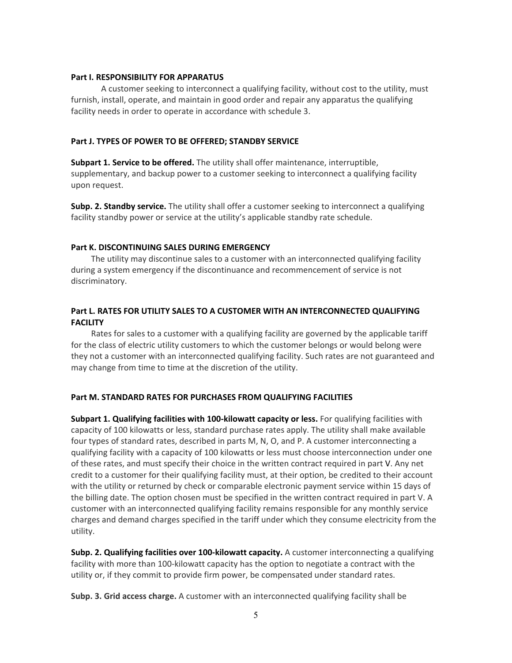#### **Part I. RESPONSIBILITY FOR APPARATUS**

A customer seeking to interconnect a qualifying facility, without cost to the utility, must furnish, install, operate, and maintain in good order and repair any apparatus the qualifying facility needs in order to operate in accordance with schedule 3.

#### **Part J. TYPES OF POWER TO BE OFFERED; STANDBY SERVICE**

**Subpart 1. Service to be offered.** The utility shall offer maintenance, interruptible, supplementary, and backup power to a customer seeking to interconnect a qualifying facility upon request.

**Subp. 2. Standby service.** The utility shall offer a customer seeking to interconnect a qualifying facility standby power or service at the utility's applicable standby rate schedule.

#### **Part K. DISCONTINUING SALES DURING EMERGENCY**

 The utility may discontinue sales to a customer with an interconnected qualifying facility during a system emergency if the discontinuance and recommencement of service is not discriminatory.

# **Part L. RATES FOR UTILITY SALES TO A CUSTOMER WITH AN INTERCONNECTED QUALIFYING FACILITY**

 may change from time to time at the discretion of the utility. Rates for sales to a customer with a qualifying facility are governed by the applicable tariff for the class of electric utility customers to which the customer belongs or would belong were they not a customer with an interconnected qualifying facility. Such rates are not guaranteed and

### **Part M. STANDARD RATES FOR PURCHASES FROM QUALIFYING FACILITIES**

 the billing date. The option chosen must be specified in the written contract required in part V. A **Subpart 1. Qualifying facilities with 100‐kilowatt capacity or less.** For qualifying facilities with capacity of 100 kilowatts or less, standard purchase rates apply. The utility shall make available four types of standard rates, described in parts M, N, O, and P. A customer interconnecting a qualifying facility with a capacity of 100 kilowatts or less must choose interconnection under one of these rates, and must specify their choice in the written contract required in part V. Any net credit to a customer for their qualifying facility must, at their option, be credited to their account with the utility or returned by check or comparable electronic payment service within 15 days of customer with an interconnected qualifying facility remains responsible for any monthly service charges and demand charges specified in the tariff under which they consume electricity from the utility.

 facility with more than 100‐kilowatt capacity has the option to negotiate a contract with the **Subp. 2. Qualifying facilities over 100‐kilowatt capacity.** A customer interconnecting a qualifying utility or, if they commit to provide firm power, be compensated under standard rates.

**Subp. 3. Grid access charge.** A customer with an interconnected qualifying facility shall be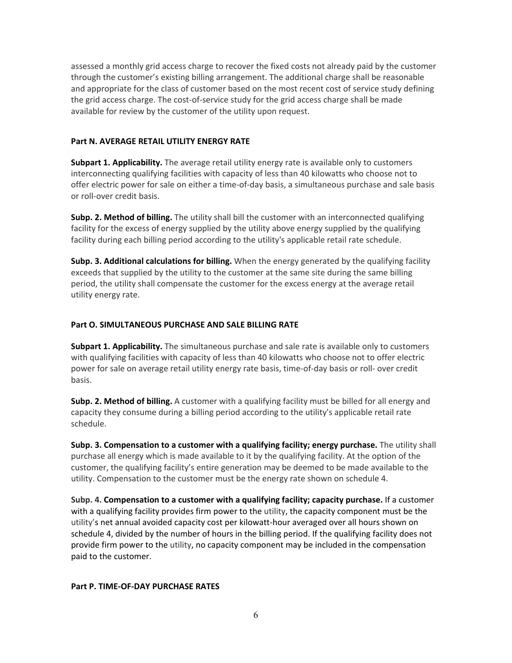assessed a monthly grid access charge to recover the fixed costs not already paid by the customer available for review by the customer of the utility upon request. through the customer's existing billing arrangement. The additional charge shall be reasonable and appropriate for the class of customer based on the most recent cost of service study defining the grid access charge. The cost‐of‐service study for the grid access charge shall be made

## **Part N. AVERAGE RETAIL UTILITY ENERGY RATE**

**Subpart 1. Applicability.** The average retail utility energy rate is available only to customers interconnecting qualifying facilities with capacity of less than 40 kilowatts who choose not to offer electric power for sale on either a time‐of‐day basis, a simultaneous purchase and sale basis or roll‐over credit basis.

 **Subp. 2. Method of billing.** The utility shall bill the customer with an interconnected qualifying facility for the excess of energy supplied by the utility above energy supplied by the qualifying facility during each billing period according to the utility's applicable retail rate schedule.

**Subp. 3. Additional calculations for billing.** When the energy generated by the qualifying facility exceeds that supplied by the utility to the customer at the same site during the same billing period, the utility shall compensate the customer for the excess energy at the average retail utility energy rate.

# **Part O. SIMULTANEOUS PURCHASE AND SALE BILLING RATE**

**Subpart 1. Applicability.** The simultaneous purchase and sale rate is available only to customers with qualifying facilities with capacity of less than 40 kilowatts who choose not to offer electric power for sale on average retail utility energy rate basis, time‐of‐day basis or roll‐ over credit basis.

 **Subp. 2. Method of billing.** A customer with a qualifying facility must be billed for all energy and capacity they consume during a billing period according to the utility's applicable retail rate schedule.

 utility. Compensation to the customer must be the energy rate shown on schedule 4. **Subp. 3. Compensation to a customer with a qualifying facility; energy purchase.** The utility shall purchase all energy which is made available to it by the qualifying facility. At the option of the customer, the qualifying facility's entire generation may be deemed to be made available to the

 provide firm power to the utility, no capacity component may be included in the compensation **Subp. 4. Compensation to a customer with a qualifying facility; capacity purchase.** If a customer with a qualifying facility provides firm power to the utility, the capacity component must be the utility's net annual avoided capacity cost per kilowatt‐hour averaged over all hours shown on schedule 4, divided by the number of hours in the billing period. If the qualifying facility does not paid to the customer.

### **Part P. TIME‐OF‐DAY PURCHASE RATES**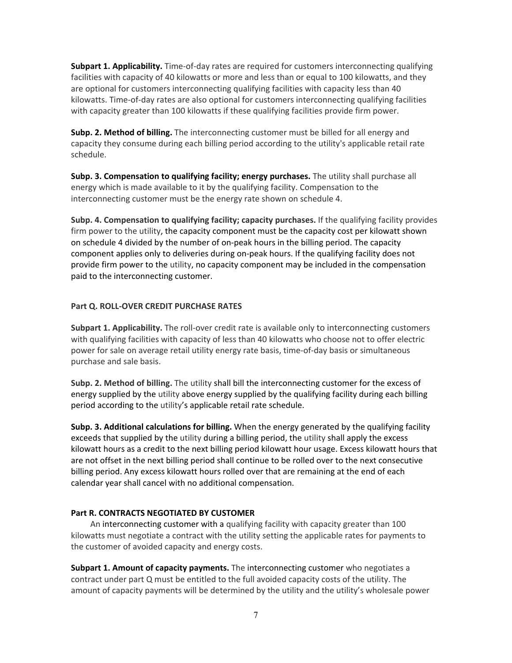**Subpart 1. Applicability.** Time-of-day rates are required for customers interconnecting qualifying facilities with capacity of 40 kilowatts or more and less than or equal to 100 kilowatts, and they are optional for customers interconnecting qualifying facilities with capacity less than 40 kilowatts. Time‐of‐day rates are also optional for customers interconnecting qualifying facilities with capacity greater than 100 kilowatts if these qualifying facilities provide firm power.

 **Subp. 2. Method of billing.** The interconnecting customer must be billed for all energy and capacity they consume during each billing period according to the utility's applicable retail rate schedule.

**Subp. 3. Compensation to qualifying facility; energy purchases.** The utility shall purchase all energy which is made available to it by the qualifying facility. Compensation to the interconnecting customer must be the energy rate shown on schedule 4.

 on schedule 4 divided by the number of on‐peak hours in the billing period. The capacity provide firm power to the utility, no capacity component may be included in the compensation **Subp. 4. Compensation to qualifying facility; capacity purchases.** If the qualifying facility provides firm power to the utility, the capacity component must be the capacity cost per kilowatt shown component applies only to deliveries during on‐peak hours. If the qualifying facility does not paid to the interconnecting customer.

# **Part Q. ROLL‐OVER CREDIT PURCHASE RATES**

 **Subpart 1. Applicability.** The roll‐over credit rate is available only to interconnecting customers with qualifying facilities with capacity of less than 40 kilowatts who choose not to offer electric power for sale on average retail utility energy rate basis, time‐of‐day basis or simultaneous purchase and sale basis.

 **Subp. 2. Method of billing.** The utility shall bill the interconnecting customer for the excess of energy supplied by the utility above energy supplied by the qualifying facility during each billing period according to the utility's applicable retail rate schedule.

**Subp. 3. Additional calculations for billing.** When the energy generated by the qualifying facility exceeds that supplied by the utility during a billing period, the utility shall apply the excess kilowatt hours as a credit to the next billing period kilowatt hour usage. Excess kilowatt hours that are not offset in the next billing period shall continue to be rolled over to the next consecutive billing period. Any excess kilowatt hours rolled over that are remaining at the end of each calendar year shall cancel with no additional compensation.

# **Part R. CONTRACTS NEGOTIATED BY CUSTOMER**

An interconnecting customer with a qualifying facility with capacity greater than 100 kilowatts must negotiate a contract with the utility setting the applicable rates for payments to the customer of avoided capacity and energy costs.

 contract under part Q must be entitled to the full avoided capacity costs of the utility. The **Subpart 1. Amount of capacity payments.** The interconnecting customer who negotiates a amount of capacity payments will be determined by the utility and the utility's wholesale power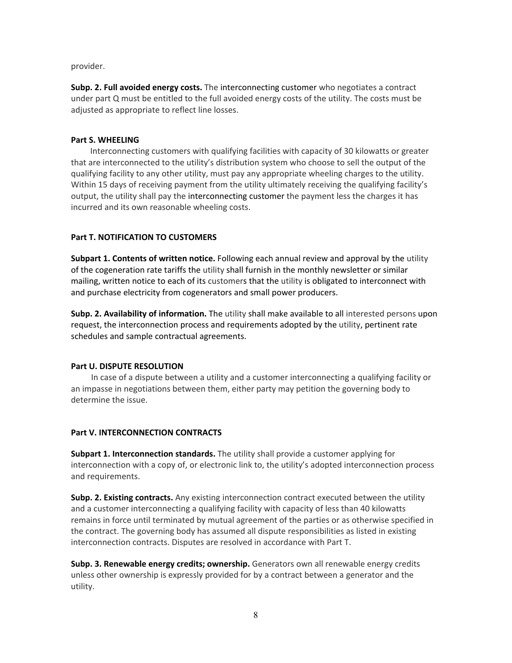provider.

 under part Q must be entitled to the full avoided energy costs of the utility. The costs must be **Subp. 2. Full avoided energy costs.** The interconnecting customer who negotiates a contract adjusted as appropriate to reflect line losses.

## **Part S. WHEELING**

 Interconnecting customers with qualifying facilities with capacity of 30 kilowatts or greater that are interconnected to the utility's distribution system who choose to sell the output of the output, the utility shall pay the interconnecting customer the payment less the charges it has qualifying facility to any other utility, must pay any appropriate wheeling charges to the utility. Within 15 days of receiving payment from the utility ultimately receiving the qualifying facility's incurred and its own reasonable wheeling costs.

# **Part T. NOTIFICATION TO CUSTOMERS**

 **Subpart 1. Contents of written notice.** Following each annual review and approval by the utility of the cogeneration rate tariffs the utility shall furnish in the monthly newsletter or similar mailing, written notice to each of its customers that the utility is obligated to interconnect with and purchase electricity from cogenerators and small power producers.

 schedules and sample contractual agreements. **Subp. 2. Availability of information.** The utility shall make available to all interested persons upon request, the interconnection process and requirements adopted by the utility, pertinent rate

### **Part U. DISPUTE RESOLUTION**

In case of a dispute between a utility and a customer interconnecting a qualifying facility or an impasse in negotiations between them, either party may petition the governing body to determine the issue.

# **Part V. INTERCONNECTION CONTRACTS**

**Subpart 1. Interconnection standards.** The utility shall provide a customer applying for interconnection with a copy of, or electronic link to, the utility's adopted interconnection process and requirements.

 the contract. The governing body has assumed all dispute responsibilities as listed in existing **Subp. 2. Existing contracts.** Any existing interconnection contract executed between the utility and a customer interconnecting a qualifying facility with capacity of less than 40 kilowatts remains in force until terminated by mutual agreement of the parties or as otherwise specified in interconnection contracts. Disputes are resolved in accordance with Part T.

 **Subp. 3. Renewable energy credits; ownership.** Generators own all renewable energy credits unless other ownership is expressly provided for by a contract between a generator and the utility.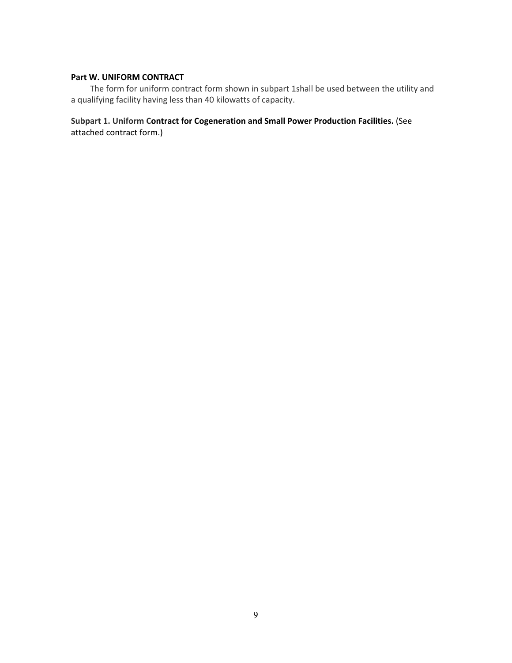### **Part W. UNIFORM CONTRACT**

The form for uniform contract form shown in subpart 1shall be used between the utility and a qualifying facility having less than 40 kilowatts of capacity.

 **Subpart 1. Uniform Contract for Cogeneration and Small Power Production Facilities.** (See attached contract form.)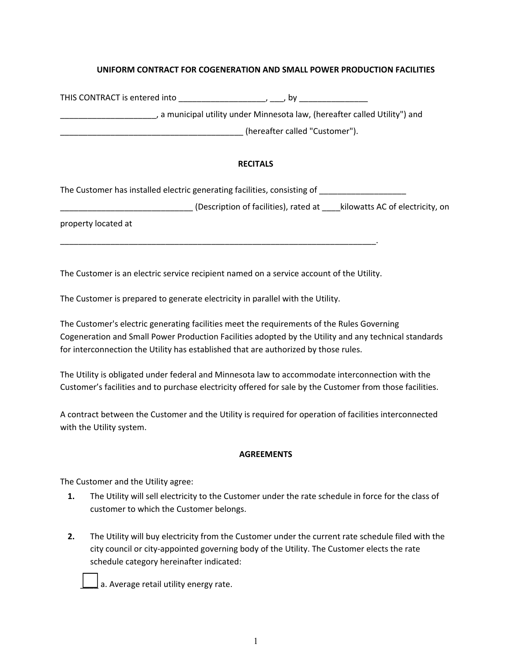# **UNIFORM CONTRACT FOR COGENERATION AND SMALL POWER PRODUCTION FACILITIES**

| THIS CONTRACT is entered into                                              |
|----------------------------------------------------------------------------|
| , a municipal utility under Minnesota law, (hereafter called Utility") and |
| (hereafter called "Customer").                                             |

## **RECITALS**

| The Customer has installed electric generating facilities, consisting of |  |
|--------------------------------------------------------------------------|--|
|--------------------------------------------------------------------------|--|

\_\_\_\_\_\_\_\_\_\_\_\_\_\_\_\_\_\_\_\_\_\_\_\_\_\_\_\_\_ (Description of facilities), rated at \_\_\_\_kilowatts AC of electricity, on

property located at

The Customer is an electric service recipient named on a service account of the Utility.

\_\_\_\_\_\_\_\_\_\_\_\_\_\_\_\_\_\_\_\_\_\_\_\_\_\_\_\_\_\_\_\_\_\_\_\_\_\_\_\_\_\_\_\_\_\_\_\_\_\_\_\_\_\_\_\_\_\_\_\_\_\_\_\_\_\_\_\_\_.

The Customer is prepared to generate electricity in parallel with the Utility.

The Customer's electric generating facilities meet the requirements of the Rules Governing Cogeneration and Small Power Production Facilities adopted by the Utility and any technical standards for interconnection the Utility has established that are authorized by those rules.

The Utility is obligated under federal and Minnesota law to accommodate interconnection with the Customer's facilities and to purchase electricity offered for sale by the Customer from those facilities.

A contract between the Customer and the Utility is required for operation of facilities interconnected with the Utility system.

### **AGREEMENTS**

The Customer and the Utility agree:

- **1.** The Utility will sell electricity to the Customer under the rate schedule in force for the class of customer to which the Customer belongs.
- **2.** The Utility will buy electricity from the Customer under the current rate schedule filed with the city council or city‐appointed governing body of the Utility. The Customer elects the rate schedule category hereinafter indicated:



a. Average retail utility energy rate.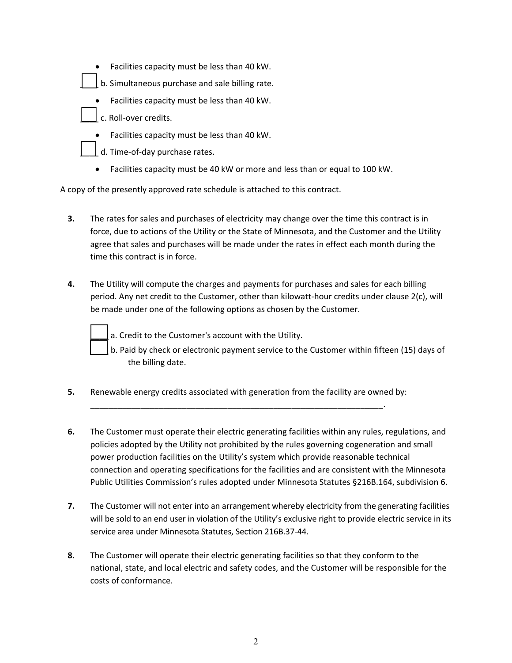- Facilities capacity must be less than 40 kW.
- | b. Simultaneous purchase and sale billing rate.
- Facilities capacity must be less than 40 kW.
- c. Roll-over credits.
- Facilities capacity must be less than 40 kW.
- \_d. Time-of-day purchase rates.
- Facilities capacity must be 40 kW or more and less than or equal to 100 kW.

A copy of the presently approved rate schedule is attached to this contract.

- **3.** The rates for sales and purchases of electricity may change over the time this contract is in force, due to actions of the Utility or the State of Minnesota, and the Customer and the Utility agree that sales and purchases will be made under the rates in effect each month during the time this contract is in force.
- **4.** The Utility will compute the charges and payments for purchases and sales for each billing period. Any net credit to the Customer, other than kilowatt‐hour credits under clause 2(c), will be made under one of the following options as chosen by the Customer.



a. Credit to the Customer's account with the Utility.

- b. Paid by check or electronic payment service to the Customer within fifteen (15) days of the billing date.
- **5.** Renewable energy credits associated with generation from the facility are owned by: \_\_\_\_\_\_\_\_\_\_\_\_\_\_\_\_\_\_\_\_\_\_\_\_\_\_\_\_\_\_\_\_\_\_\_\_\_\_\_\_\_\_\_\_\_\_\_\_\_\_\_\_\_\_\_\_\_\_\_\_\_\_\_\_.
- policies adopted by the Utility not prohibited by the rules governing cogeneration and small **6.** The Customer must operate their electric generating facilities within any rules, regulations, and power production facilities on the Utility's system which provide reasonable technical connection and operating specifications for the facilities and are consistent with the Minnesota Public Utilities Commission's rules adopted under Minnesota Statutes §216B.164, subdivision 6.
- will be sold to an end user in violation of the Utility's exclusive right to provide electric service in its service area under Minnesota Statutes, Section 216B.37‐44. **7.** The Customer will not enter into an arrangement whereby electricity from the generating facilities
- **8.** The Customer will operate their electric generating facilities so that they conform to the national, state, and local electric and safety codes, and the Customer will be responsible for the costs of conformance.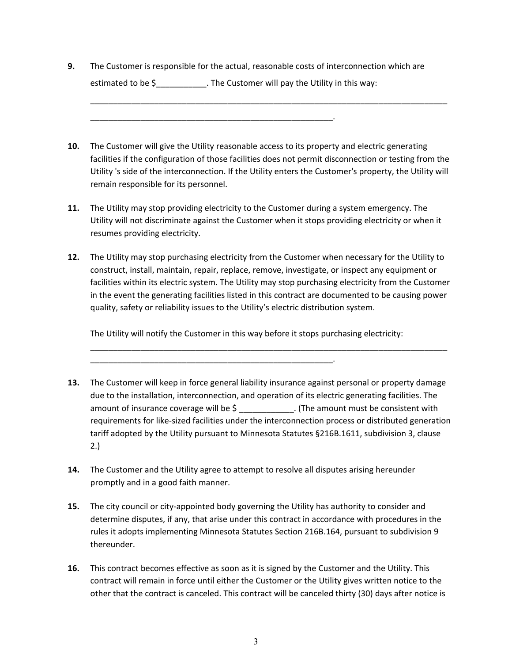**9.** The Customer is responsible for the actual, reasonable costs of interconnection which are estimated to be \$ The Customer will pay the Utility in this way:

\_\_\_\_\_\_\_\_\_\_\_\_\_\_\_\_\_\_\_\_\_\_\_\_\_\_\_\_\_\_\_\_\_\_\_\_\_\_\_\_\_\_\_\_\_\_\_\_\_\_\_\_\_.

**10.** The Customer will give the Utility reasonable access to its property and electric generating facilities if the configuration of those facilities does not permit disconnection or testing from the Utility 's side of the interconnection. If the Utility enters the Customer's property, the Utility will remain responsible for its personnel.

\_\_\_\_\_\_\_\_\_\_\_\_\_\_\_\_\_\_\_\_\_\_\_\_\_\_\_\_\_\_\_\_\_\_\_\_\_\_\_\_\_\_\_\_\_\_\_\_\_\_\_\_\_\_\_\_\_\_\_\_\_\_\_\_\_\_\_\_\_\_\_\_\_\_\_\_\_\_

- Utility will not discriminate against the Customer when it stops providing electricity or when it **11.** The Utility may stop providing electricity to the Customer during a system emergency. The resumes providing electricity.
- quality, safety or reliability issues to the Utility's electric distribution system. **12.** The Utility may stop purchasing electricity from the Customer when necessary for the Utility to construct, install, maintain, repair, replace, remove, investigate, or inspect any equipment or facilities within its electric system. The Utility may stop purchasing electricity from the Customer in the event the generating facilities listed in this contract are documented to be causing power

\_\_\_\_\_\_\_\_\_\_\_\_\_\_\_\_\_\_\_\_\_\_\_\_\_\_\_\_\_\_\_\_\_\_\_\_\_\_\_\_\_\_\_\_\_\_\_\_\_\_\_\_\_\_\_\_\_\_\_\_\_\_\_\_\_\_\_\_\_\_\_\_\_\_\_\_\_\_

The Utility will notify the Customer in this way before it stops purchasing electricity:

\_\_\_\_\_\_\_\_\_\_\_\_\_\_\_\_\_\_\_\_\_\_\_\_\_\_\_\_\_\_\_\_\_\_\_\_\_\_\_\_\_\_\_\_\_\_\_\_\_\_\_\_\_.

- **13.** The Customer will keep in force general liability insurance against personal or property damage due to the installation, interconnection, and operation of its electric generating facilities. The amount of insurance coverage will be \$ \_\_\_\_\_\_\_\_\_\_\_\_\_. (The amount must be consistent with requirements for like‐sized facilities under the interconnection process or distributed generation tariff adopted by the Utility pursuant to Minnesota Statutes §216B.1611, subdivision 3, clause 2.)
- **14.** The Customer and the Utility agree to attempt to resolve all disputes arising hereunder promptly and in a good faith manner.
- 15. The city council or city-appointed body governing the Utility has authority to consider and determine disputes, if any, that arise under this contract in accordance with procedures in the rules it adopts implementing Minnesota Statutes Section 216B.164, pursuant to subdivision 9 thereunder.
- **16.** This contract becomes effective as soon as it is signed by the Customer and the Utility. This contract will remain in force until either the Customer or the Utility gives written notice to the other that the contract is canceled. This contract will be canceled thirty (30) days after notice is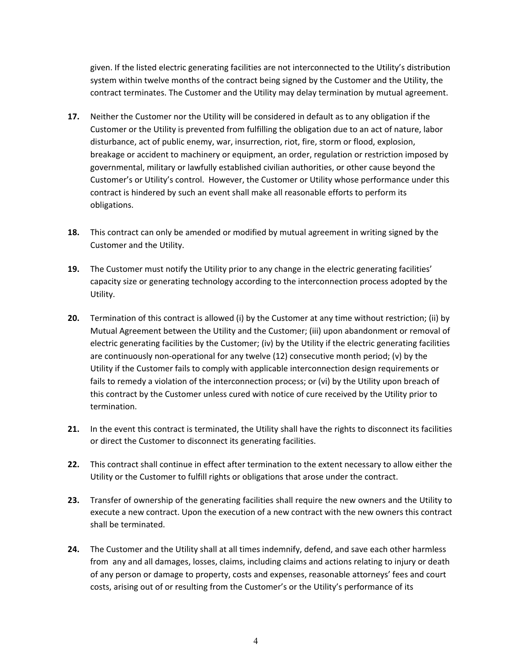given. If the listed electric generating facilities are not interconnected to the Utility's distribution system within twelve months of the contract being signed by the Customer and the Utility, the contract terminates. The Customer and the Utility may delay termination by mutual agreement.

- **17.** Neither the Customer nor the Utility will be considered in default as to any obligation if the Customer or the Utility is prevented from fulfilling the obligation due to an act of nature, labor disturbance, act of public enemy, war, insurrection, riot, fire, storm or flood, explosion, breakage or accident to machinery or equipment, an order, regulation or restriction imposed by governmental, military or lawfully established civilian authorities, or other cause beyond the Customer's or Utility's control. However, the Customer or Utility whose performance under this contract is hindered by such an event shall make all reasonable efforts to perform its obligations.
- **18.** This contract can only be amended or modified by mutual agreement in writing signed by the Customer and the Utility.
- 19. The Customer must notify the Utility prior to any change in the electric generating facilities' capacity size or generating technology according to the interconnection process adopted by the Utility.
- Utility if the Customer fails to comply with applicable interconnection design requirements or this contract by the Customer unless cured with notice of cure received by the Utility prior to **20.** Termination of this contract is allowed (i) by the Customer at any time without restriction; (ii) by Mutual Agreement between the Utility and the Customer; (iii) upon abandonment or removal of electric generating facilities by the Customer; (iv) by the Utility if the electric generating facilities are continuously non-operational for any twelve (12) consecutive month period; (v) by the fails to remedy a violation of the interconnection process; or (vi) by the Utility upon breach of termination.
- **21.** In the event this contract is terminated, the Utility shall have the rights to disconnect its facilities or direct the Customer to disconnect its generating facilities.
- **22.** This contract shall continue in effect after termination to the extent necessary to allow either the Utility or the Customer to fulfill rights or obligations that arose under the contract.
- **23.** Transfer of ownership of the generating facilities shall require the new owners and the Utility to execute a new contract. Upon the execution of a new contract with the new owners this contract shall be terminated.
- of any person or damage to property, costs and expenses, reasonable attorneys' fees and court **24.** The Customer and the Utility shall at all times indemnify, defend, and save each other harmless from any and all damages, losses, claims, including claims and actions relating to injury or death costs, arising out of or resulting from the Customer's or the Utility's performance of its